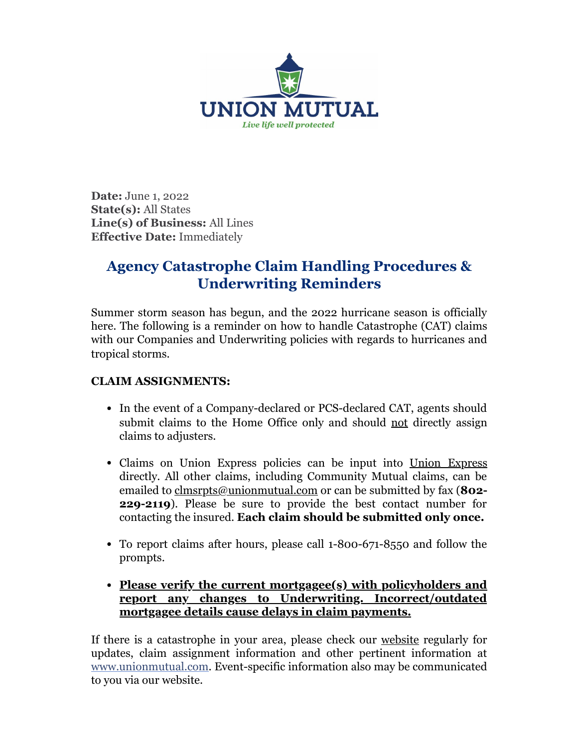

**Date:** June 1, 2022 **State(s):** All States **Line(s) of Business:** All Lines **Effective Date:** Immediately

## **Agency Catastrophe Claim Handling Procedures & Underwriting Reminders**

Summer storm season has begun, and the 2022 hurricane season is officially here. The following is a reminder on how to handle Catastrophe (CAT) claims with our Companies and Underwriting policies with regards to hurricanes and tropical storms.

## **CLAIM ASSIGNMENTS:**

- In the event of a Company-declared or PCS-declared CAT, agents should submit claims to the Home Office only and should not directly assign claims to adjusters.
- Claims on [Union Express](https://spi.umfic.com/innovation) policies can be input into Union Express directly. All other claims, including Community Mutual claims, can be emailed to [clmsrpts@unionmutual.com](mailto:clmsrpts@unionmutual.com) or can be submitted by fax (**802- 229-2119**). Please be sure to provide the best contact number for contacting the insured. **Each claim should be submitted only once.**
- To report claims after hours, please call 1-800-671-8550 and follow the prompts.
- **Please verify the current mortgagee(s) with policyholders and report any changes to Underwriting. Incorrect/outdated mortgagee details cause delays in claim payments.**

If there is a catastrophe in your area, please check our [website](http://www.unionmutual.com/) regularly for updates, claim assignment information and other pertinent information at [www.unionmutual.com](http://www.unionmutual.com/). Event-specific information also may be communicated to you via our website.